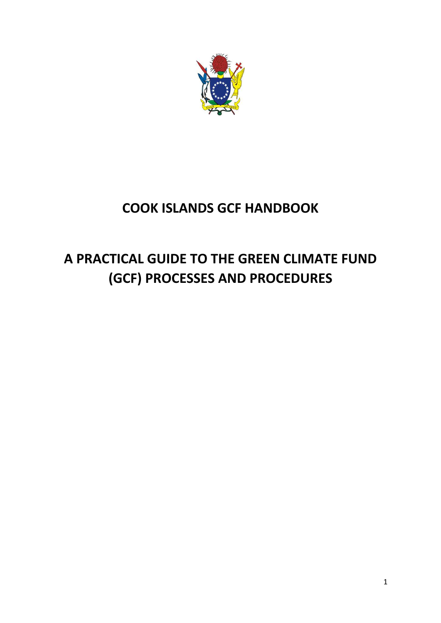

# **COOK ISLANDS GCF HANDBOOK**

# **A PRACTICAL GUIDE TO THE GREEN CLIMATE FUND (GCF) PROCESSES AND PROCEDURES**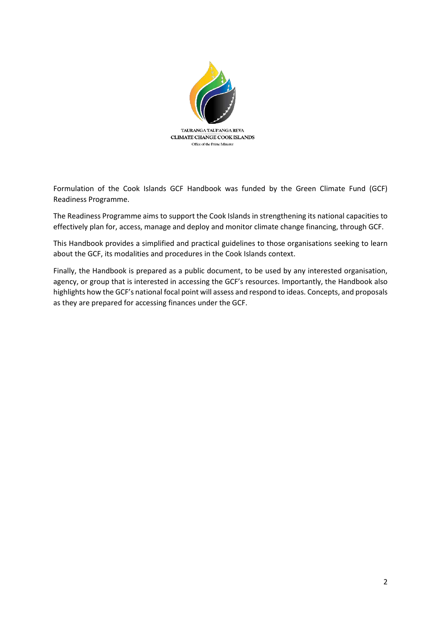

Formulation of the Cook Islands GCF Handbook was funded by the Green Climate Fund (GCF) Readiness Programme.

The Readiness Programme aims to support the Cook Islands in strengthening its national capacities to effectively plan for, access, manage and deploy and monitor climate change financing, through GCF.

This Handbook provides a simplified and practical guidelines to those organisations seeking to learn about the GCF, its modalities and procedures in the Cook Islands context.

Finally, the Handbook is prepared as a public document, to be used by any interested organisation, agency, or group that is interested in accessing the GCF's resources. Importantly, the Handbook also highlights how the GCF's national focal point will assess and respond to ideas. Concepts, and proposals as they are prepared for accessing finances under the GCF.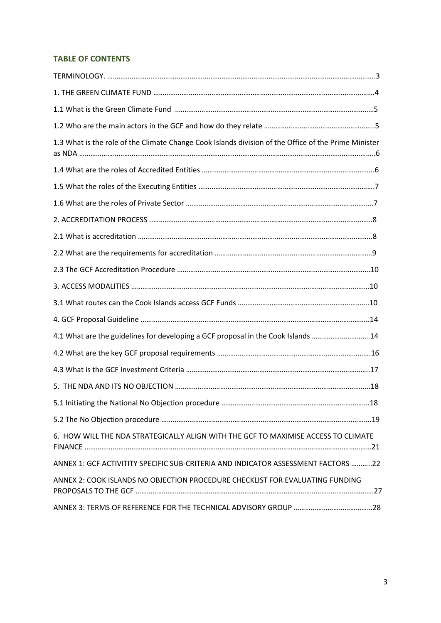# **TABLE OF CONTENTS**

| 1.3 What is the role of the Climate Change Cook Islands division of the Office of the Prime Minister |  |
|------------------------------------------------------------------------------------------------------|--|
|                                                                                                      |  |
|                                                                                                      |  |
|                                                                                                      |  |
|                                                                                                      |  |
|                                                                                                      |  |
|                                                                                                      |  |
|                                                                                                      |  |
|                                                                                                      |  |
|                                                                                                      |  |
|                                                                                                      |  |
| 4.1 What are the guidelines for developing a GCF proposal in the Cook Islands 14                     |  |
|                                                                                                      |  |
|                                                                                                      |  |
|                                                                                                      |  |
|                                                                                                      |  |
|                                                                                                      |  |
| 6. HOW WILL THE NDA STRATEGICALLY ALIGN WITH THE GCF TO MAXIMISE ACCESS TO CLIMATE                   |  |
| ANNEX 1: GCF ACTIVITITY SPECIFIC SUB-CRITERIA AND INDICATOR ASSESSMENT FACTORS 22                    |  |
| ANNEX 2: COOK ISLANDS NO OBJECTION PROCEDURE CHECKLIST FOR EVALUATING FUNDING                        |  |
|                                                                                                      |  |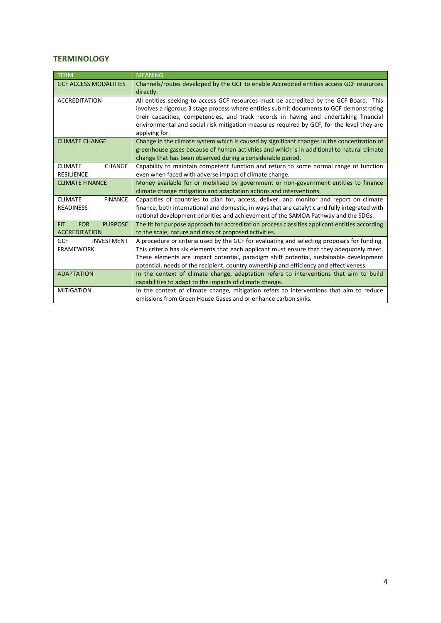### **TERMINOLOGY**

| TERM                                       | <b>MEANING</b>                                                                                                                                                                    |
|--------------------------------------------|-----------------------------------------------------------------------------------------------------------------------------------------------------------------------------------|
| <b>GCF ACCESS MODALITIES</b>               | Channels/routes developed by the GCF to enable Accredited entities access GCF resources                                                                                           |
|                                            | directly.                                                                                                                                                                         |
| <b>ACCREDITATION</b>                       | All entities seeking to access GCF resources must be accredited by the GCF Board. This                                                                                            |
|                                            | involves a rigorous 3 stage process where entities submit documents to GCF demonstrating<br>their capacities, competencies, and track records in having and undertaking financial |
|                                            | environmental and social risk mitigation measures required by GCF, for the level they are                                                                                         |
|                                            | applying for.                                                                                                                                                                     |
| <b>CLIMATE CHANGE</b>                      | Change in the climate system which is caused by significant changes in the concentration of                                                                                       |
|                                            | greenhouse gases because of human activities and which is in additional to natural climate                                                                                        |
|                                            | change that has been observed during a considerable period.                                                                                                                       |
| <b>CHANGE</b><br><b>CLIMATE</b>            | Capability to maintain competent function and return to some normal range of function                                                                                             |
| <b>RESILIENCE</b>                          | even when faced with adverse impact of climate change.                                                                                                                            |
| <b>CLIMATE FINANCE</b>                     | Money available for or mobilised by government or non-government entities to finance                                                                                              |
|                                            | climate change mitigation and adaptation actions and interventions.                                                                                                               |
| <b>FINANCE</b><br><b>CLIMATE</b>           | Capacities of countries to plan for, access, deliver, and monitor and report on climate                                                                                           |
| <b>READINESS</b>                           | finance, both international and domestic, in ways that are catalytic and fully integrated with                                                                                    |
|                                            | national development priorities and achievement of the SAMOA Pathway and the SDGs.                                                                                                |
| <b>FOR</b><br><b>PURPOSE</b><br><b>FIT</b> | The fit for purpose approach for accreditation process classifies applicant entities according                                                                                    |
| <b>ACCREDITATION</b>                       | to the scale, nature and risks of proposed activities.                                                                                                                            |
| GCF<br><b>INVESTMENT</b>                   | A procedure or criteria used by the GCF for evaluating and selecting proposals for funding.                                                                                       |
| <b>FRAMEWORK</b>                           | This criteria has six elements that each applicant must ensure that they adequately meet.                                                                                         |
|                                            | These elements are impact potential, paradigm shift potential, sustainable development                                                                                            |
|                                            | potential, needs of the recipient, country ownership and efficiency and effectiveness.                                                                                            |
| <b>ADAPTATION</b>                          | In the context of climate change, adaptation refers to interventions that aim to build                                                                                            |
|                                            | capabilities to adapt to the impacts of climate change.                                                                                                                           |
| <b>MITIGATION</b>                          | In the context of climate change, mitigation refers to interventions that aim to reduce                                                                                           |
|                                            | emissions from Green House Gases and or enhance carbon sinks.                                                                                                                     |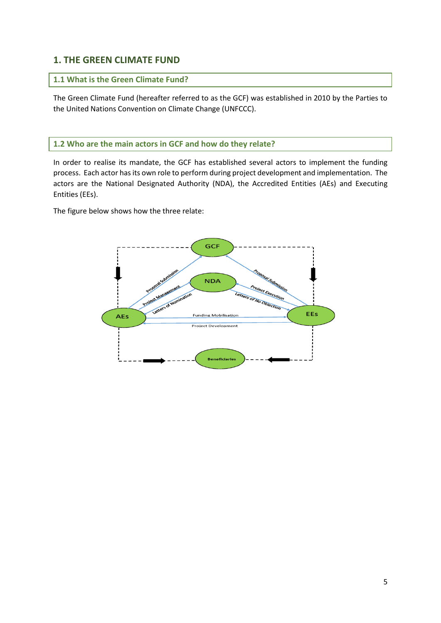# **1. THE GREEN CLIMATE FUND**

# **1.1 What is the Green Climate Fund?**

The Green Climate Fund (hereafter referred to as the GCF) was established in 2010 by the Parties to the United Nations Convention on Climate Change (UNFCCC).

# **1.2 Who are the main actors in GCF and how do they relate?**

In order to realise its mandate, the GCF has established several actors to implement the funding process. Each actor has its own role to perform during project development and implementation. The actors are the National Designated Authority (NDA), the Accredited Entities (AEs) and Executing Entities (EEs).

The figure below shows how the three relate:

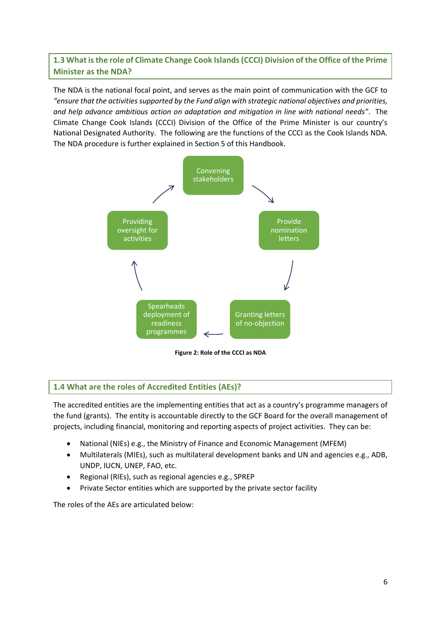**1.3 What is the role of Climate Change Cook Islands (CCCI) Division of the Office of the Prime Minister as the NDA?** 

The NDA is the national focal point, and serves as the main point of communication with the GCF to *"ensure that the activities supported by the Fund align with strategic national objectives and priorities, and help advance ambitious action on adaptation and mitigation in line with national needs"*. The Climate Change Cook Islands (CCCI) Division of the Office of the Prime Minister is our country's National Designated Authority. The following are the functions of the CCCI as the Cook Islands NDA. The NDA procedure is further explained in Section 5 of this Handbook.



**Figure 2: Role of the CCCI as NDA** 

# **1.4 What are the roles of Accredited Entities (AEs)?**

The accredited entities are the implementing entities that act as a country's programme managers of the fund (grants). The entity is accountable directly to the GCF Board for the overall management of projects, including financial, monitoring and reporting aspects of project activities. They can be:

- National (NIEs) e.g., the Ministry of Finance and Economic Management (MFEM)
- Multilaterals (MIEs), such as multilateral development banks and UN and agencies e.g., ADB, UNDP, IUCN, UNEP, FAO, etc.
- Regional (RIEs), such as regional agencies e.g., SPREP
- Private Sector entities which are supported by the private sector facility

The roles of the AEs are articulated below: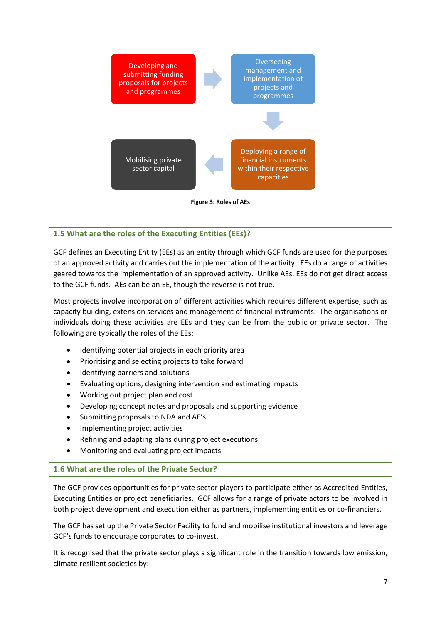

# **1.5 What are the roles of the Executing Entities (EEs)?**

GCF defines an Executing Entity (EEs) as an entity through which GCF funds are used for the purposes of an approved activity and carries out the implementation of the activity. EEs do a range of activities geared towards the implementation of an approved activity. Unlike AEs, EEs do not get direct access to the GCF funds. AEs can be an EE, though the reverse is not true.

Most projects involve incorporation of different activities which requires different expertise, such as capacity building, extension services and management of financial instruments. The organisations or individuals doing these activities are EEs and they can be from the public or private sector. The following are typically the roles of the EEs:

- Identifying potential projects in each priority area
- Prioritising and selecting projects to take forward
- Identifying barriers and solutions
- Evaluating options, designing intervention and estimating impacts
- Working out project plan and cost
- Developing concept notes and proposals and supporting evidence
- Submitting proposals to NDA and AE's
- Implementing project activities
- Refining and adapting plans during project executions
- Monitoring and evaluating project impacts

# **1.6 What are the roles of the Private Sector?**

The GCF provides opportunities for private sector players to participate either as Accredited Entities, Executing Entities or project beneficiaries. GCF allows for a range of private actors to be involved in both project development and execution either as partners, implementing entities or co-financiers.

The GCF has set up the Private Sector Facility to fund and mobilise institutional investors and leverage GCF's funds to encourage corporates to co-invest.

It is recognised that the private sector plays a significant role in the transition towards low emission, climate resilient societies by: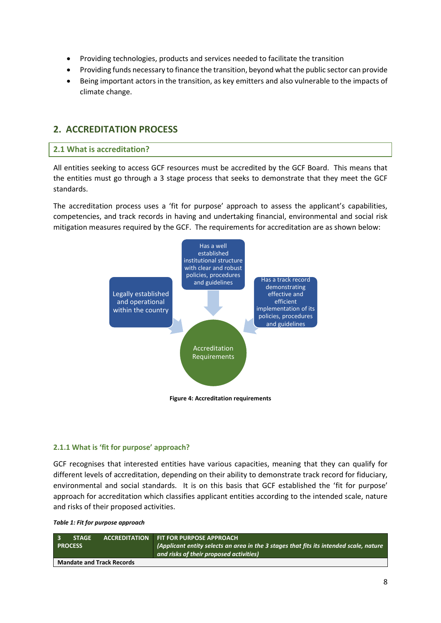- Providing technologies, products and services needed to facilitate the transition
- Providing funds necessary to finance the transition, beyond what the public sector can provide
- Being important actors in the transition, as key emitters and also vulnerable to the impacts of climate change.

# **2. ACCREDITATION PROCESS**

## **2.1 What is accreditation?**

All entities seeking to access GCF resources must be accredited by the GCF Board. This means that the entities must go through a 3 stage process that seeks to demonstrate that they meet the GCF standards.

The accreditation process uses a 'fit for purpose' approach to assess the applicant's capabilities, competencies, and track records in having and undertaking financial, environmental and social risk mitigation measures required by the GCF. The requirements for accreditation are as shown below:



#### **2.1.1 What is 'fit for purpose' approach?**

GCF recognises that interested entities have various capacities, meaning that they can qualify for different levels of accreditation, depending on their ability to demonstrate track record for fiduciary, environmental and social standards. It is on this basis that GCF established the 'fit for purpose' approach for accreditation which classifies applicant entities according to the intended scale, nature and risks of their proposed activities.

|  |  |  |  | Table 1: Fit for purpose approach |
|--|--|--|--|-----------------------------------|
|--|--|--|--|-----------------------------------|

| $\overline{\mathbf{3}}$<br><b>STAGE</b><br><b>PROCESS</b> |                                  | ACCREDITATION FIT FOR PURPOSE APPROACH<br>(Applicant entity selects an area in the 3 stages that fits its intended scale, nature<br>and risks of their proposed activities) |
|-----------------------------------------------------------|----------------------------------|-----------------------------------------------------------------------------------------------------------------------------------------------------------------------------|
|                                                           | <b>Mandate and Track Records</b> |                                                                                                                                                                             |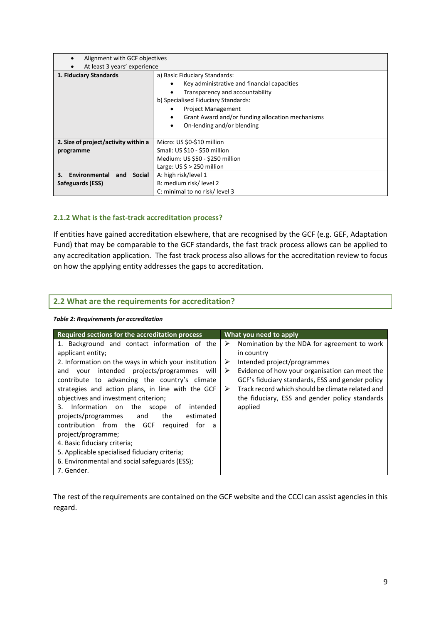| Alignment with GCF objectives               |                                                                                                                                                                                                                                                                       |  |
|---------------------------------------------|-----------------------------------------------------------------------------------------------------------------------------------------------------------------------------------------------------------------------------------------------------------------------|--|
| At least 3 years' experience                |                                                                                                                                                                                                                                                                       |  |
| 1. Fiduciary Standards                      | a) Basic Fiduciary Standards:<br>Key administrative and financial capacities<br>Transparency and accountability<br>b) Specialised Fiduciary Standards:<br><b>Project Management</b><br>Grant Award and/or funding allocation mechanisms<br>On-lending and/or blending |  |
|                                             |                                                                                                                                                                                                                                                                       |  |
| 2. Size of project/activity within a        | Micro: US \$0-\$10 million                                                                                                                                                                                                                                            |  |
| programme                                   | Small: US \$10 - \$50 million                                                                                                                                                                                                                                         |  |
|                                             | Medium: US \$50 - \$250 million                                                                                                                                                                                                                                       |  |
|                                             | Large: $US \le 250$ million                                                                                                                                                                                                                                           |  |
| Environmental<br><b>Social</b><br>3.<br>and | A: high risk/level 1                                                                                                                                                                                                                                                  |  |
| Safeguards (ESS)                            | B: medium risk/level 2                                                                                                                                                                                                                                                |  |
|                                             | C: minimal to no risk/level 3                                                                                                                                                                                                                                         |  |

## **2.1.2 What is the fast-track accreditation process?**

If entities have gained accreditation elsewhere, that are recognised by the GCF (e.g. GEF, Adaptation Fund) that may be comparable to the GCF standards, the fast track process allows can be applied to any accreditation application. The fast track process also allows for the accreditation review to focus on how the applying entity addresses the gaps to accreditation.

# **2.2 What are the requirements for accreditation?**

| Required sections for the accreditation process                                                                                                                                                                                                                                                                                                                                                                                                                                                                                                                                                                                               | What you need to apply                                                                                                                                                                                                                                                                                                              |
|-----------------------------------------------------------------------------------------------------------------------------------------------------------------------------------------------------------------------------------------------------------------------------------------------------------------------------------------------------------------------------------------------------------------------------------------------------------------------------------------------------------------------------------------------------------------------------------------------------------------------------------------------|-------------------------------------------------------------------------------------------------------------------------------------------------------------------------------------------------------------------------------------------------------------------------------------------------------------------------------------|
| 1. Background and contact information of the<br>applicant entity;<br>2. Information on the ways in which your institution<br>intended projects/programmes will<br>and your<br>contribute to advancing the country's climate<br>strategies and action plans, in line with the GCF<br>objectives and investment criterion;<br>Information on the scope of<br>intended<br>3.<br>projects/programmes and<br>the<br>estimated<br>contribution from the GCF required<br>for a<br>project/programme;<br>4. Basic fiduciary criteria;<br>5. Applicable specialised fiduciary criteria;<br>6. Environmental and social safeguards (ESS);<br>7. Gender. | Nomination by the NDA for agreement to work<br>➤<br>in country<br>Intended project/programmes<br>➤<br>Evidence of how your organisation can meet the<br>➤<br>GCF's fiduciary standards, ESS and gender policy<br>Track record which should be climate related and<br>➤<br>the fiduciary, ESS and gender policy standards<br>applied |

*Table 2: Requirements for accreditation* 

The rest of the requirements are contained on the GCF website and the CCCI can assist agencies in this regard.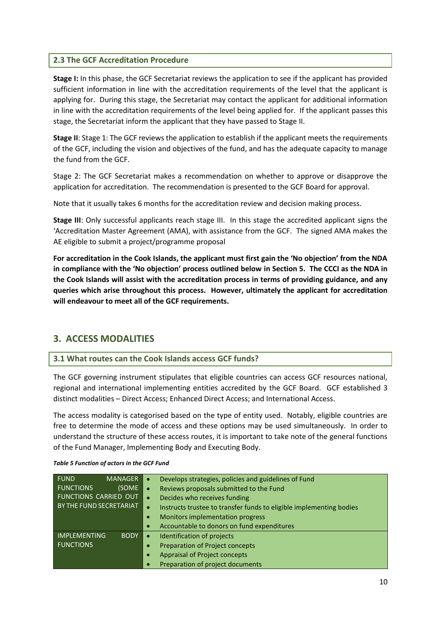# **2.3 The GCF Accreditation Procedure**

**Stage I:** In this phase, the GCF Secretariat reviews the application to see if the applicant has provided sufficient information in line with the accreditation requirements of the level that the applicant is applying for. During this stage, the Secretariat may contact the applicant for additional information in line with the accreditation requirements of the level being applied for. If the applicant passes this stage, the Secretariat inform the applicant that they have passed to Stage II.

**Stage II**: Stage 1: The GCF reviews the application to establish if the applicant meets the requirements of the GCF, including the vision and objectives of the fund, and has the adequate capacity to manage the fund from the GCF.

Stage 2: The GCF Secretariat makes a recommendation on whether to approve or disapprove the application for accreditation. The recommendation is presented to the GCF Board for approval.

Note that it usually takes 6 months for the accreditation review and decision making process.

**Stage III**: Only successful applicants reach stage III. In this stage the accredited applicant signs the 'Accreditation Master Agreement (AMA), with assistance from the GCF. The signed AMA makes the AE eligible to submit a project/programme proposal

**For accreditation in the Cook Islands, the applicant must first gain the 'No objection' from the NDA in compliance with the 'No objection' process outlined below in Section 5. The CCCI as the NDA in the Cook Islands will assist with the accreditation process in terms of providing guidance, and any queries which arise throughout this process. However, ultimately the applicant for accreditation will endeavour to meet all of the GCF requirements.** 

# **3. ACCESS MODALITIES**

# **3.1 What routes can the Cook Islands access GCF funds?**

The GCF governing instrument stipulates that eligible countries can access GCF resources national, regional and international implementing entities accredited by the GCF Board. GCF established 3 distinct modalities – Direct Access; Enhanced Direct Access; and International Access.

The access modality is categorised based on the type of entity used. Notably, eligible countries are free to determine the mode of access and these options may be used simultaneously. In order to understand the structure of these access routes, it is important to take note of the general functions of the Fund Manager, Implementing Body and Executing Body.

| <b>FUND</b><br><b>MANAGER</b>      | Develops strategies, policies and guidelines of Fund                             |
|------------------------------------|----------------------------------------------------------------------------------|
| <b>FUNCTIONS</b><br>(SOME          | Reviews proposals submitted to the Fund                                          |
| <b>FUNCTIONS CARRIED OUT</b>       | Decides who receives funding<br>$\bullet$                                        |
| BY THE FUND SECRETARIAT            | Instructs trustee to transfer funds to eligible implementing bodies<br>$\bullet$ |
|                                    | Monitors implementation progress<br>$\bullet$                                    |
|                                    | Accountable to donors on fund expenditures<br>$\bullet$                          |
| <b>IMPLEMENTING</b><br><b>BODY</b> | Identification of projects                                                       |
| <b>FUNCTIONS</b>                   | <b>Preparation of Project concepts</b>                                           |
|                                    | <b>Appraisal of Project concepts</b><br>۰                                        |
|                                    | Preparation of project documents<br>$\bullet$                                    |

#### *Table 5 Function of actors in the GCF Fund*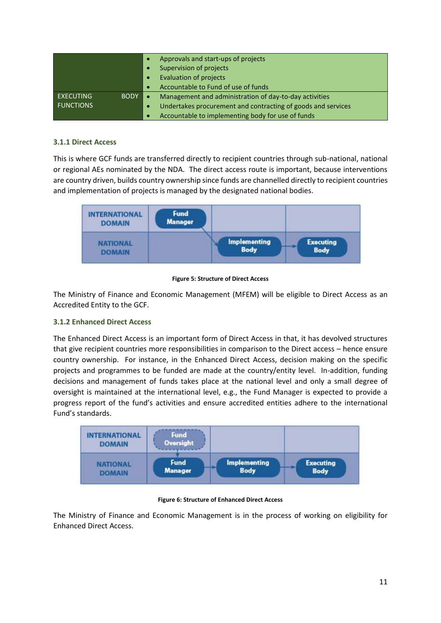|                  |      | Approvals and start-ups of projects                                 |
|------------------|------|---------------------------------------------------------------------|
|                  |      | Supervision of projects                                             |
|                  |      | <b>Evaluation of projects</b>                                       |
|                  |      | Accountable to Fund of use of funds                                 |
| <b>EXECUTING</b> | BODY | Management and administration of day-to-day activities<br>$\bullet$ |
| <b>FUNCTIONS</b> |      | Undertakes procurement and contracting of goods and services<br>۰   |
|                  |      | Accountable to implementing body for use of funds                   |

# **3.1.1 Direct Access**

This is where GCF funds are transferred directly to recipient countries through sub-national, national or regional AEs nominated by the NDA. The direct access route is important, because interventions are country driven, builds country ownership since funds are channelled directly to recipient countries and implementation of projects is managed by the designated national bodies.



#### **Figure 5: Structure of Direct Access**

The Ministry of Finance and Economic Management (MFEM) will be eligible to Direct Access as an Accredited Entity to the GCF.

# **3.1.2 Enhanced Direct Access**

The Enhanced Direct Access is an important form of Direct Access in that, it has devolved structures that give recipient countries more responsibilities in comparison to the Direct access – hence ensure country ownership. For instance, in the Enhanced Direct Access, decision making on the specific projects and programmes to be funded are made at the country/entity level. In-addition, funding decisions and management of funds takes place at the national level and only a small degree of oversight is maintained at the international level, e.g., the Fund Manager is expected to provide a progress report of the fund's activities and ensure accredited entities adhere to the international Fund's standards.



#### **Figure 6: Structure of Enhanced Direct Access**

The Ministry of Finance and Economic Management is in the process of working on eligibility for Enhanced Direct Access.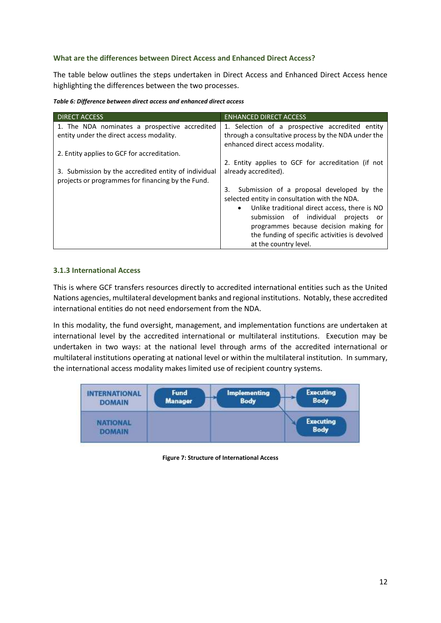## **What are the differences between Direct Access and Enhanced Direct Access?**

The table below outlines the steps undertaken in Direct Access and Enhanced Direct Access hence highlighting the differences between the two processes.

| Table 6: Difference between direct access and enhanced direct access |  |  |
|----------------------------------------------------------------------|--|--|
|                                                                      |  |  |

| <b>DIRECT ACCESS</b>                                 | <b>ENHANCED DIRECT ACCESS</b>                              |
|------------------------------------------------------|------------------------------------------------------------|
| 1. The NDA nominates a prospective accredited        | 1. Selection of a prospective accredited entity            |
| entity under the direct access modality.             | through a consultative process by the NDA under the        |
|                                                      | enhanced direct access modality.                           |
| 2. Entity applies to GCF for accreditation.          |                                                            |
|                                                      | 2. Entity applies to GCF for accreditation (if not         |
| 3. Submission by the accredited entity of individual | already accredited).                                       |
| projects or programmes for financing by the Fund.    |                                                            |
|                                                      | Submission of a proposal developed by the<br>3.            |
|                                                      | selected entity in consultation with the NDA.              |
|                                                      | Unlike traditional direct access, there is NO<br>$\bullet$ |
|                                                      | submission of individual<br>projects<br>or                 |
|                                                      | programmes because decision making for                     |
|                                                      | the funding of specific activities is devolved             |
|                                                      | at the country level.                                      |

#### **3.1.3 International Access**

This is where GCF transfers resources directly to accredited international entities such as the United Nations agencies, multilateral development banks and regional institutions. Notably, these accredited international entities do not need endorsement from the NDA.

In this modality, the fund oversight, management, and implementation functions are undertaken at international level by the accredited international or multilateral institutions. Execution may be undertaken in two ways: at the national level through arms of the accredited international or multilateral institutions operating at national level or within the multilateral institution. In summary, the international access modality makes limited use of recipient country systems.



**Figure 7: Structure of International Access**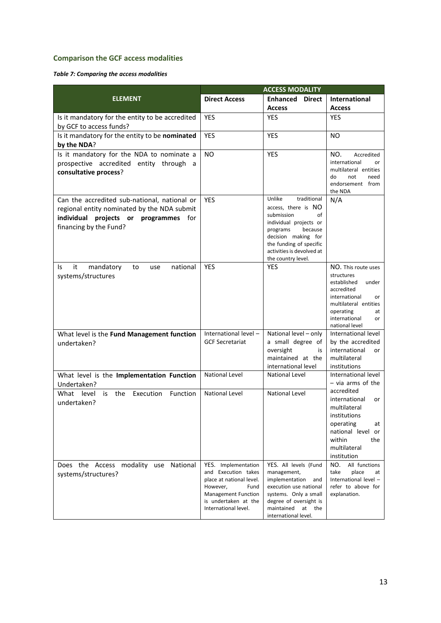# **Comparison the GCF access modalities**

## *Table 7: Comparing the access modalities*

|                                                                                                                                                                | <b>ACCESS MODALITY</b>                                                                                                                                            |                                                                                                                                                                                                                        |                                                                                                                                                                                     |  |
|----------------------------------------------------------------------------------------------------------------------------------------------------------------|-------------------------------------------------------------------------------------------------------------------------------------------------------------------|------------------------------------------------------------------------------------------------------------------------------------------------------------------------------------------------------------------------|-------------------------------------------------------------------------------------------------------------------------------------------------------------------------------------|--|
| <b>ELEMENT</b>                                                                                                                                                 | <b>Direct Access</b>                                                                                                                                              | <b>Enhanced Direct</b>                                                                                                                                                                                                 | International                                                                                                                                                                       |  |
|                                                                                                                                                                |                                                                                                                                                                   | <b>Access</b>                                                                                                                                                                                                          | <b>Access</b>                                                                                                                                                                       |  |
| Is it mandatory for the entity to be accredited<br>by GCF to access funds?                                                                                     | <b>YES</b>                                                                                                                                                        | <b>YES</b>                                                                                                                                                                                                             | <b>YES</b>                                                                                                                                                                          |  |
| Is it mandatory for the entity to be nominated<br>by the NDA?                                                                                                  | <b>YES</b>                                                                                                                                                        | <b>YES</b>                                                                                                                                                                                                             | NO.                                                                                                                                                                                 |  |
| Is it mandatory for the NDA to nominate a<br>prospective accredited entity through a<br>consultative process?                                                  | NO.                                                                                                                                                               | <b>YES</b>                                                                                                                                                                                                             | NO.<br>Accredited<br>international<br>or<br>multilateral entities<br>do<br>not<br>need<br>endorsement from<br>the NDA                                                               |  |
| Can the accredited sub-national, national or<br>regional entity nominated by the NDA submit<br>individual projects or programmes for<br>financing by the Fund? | <b>YES</b>                                                                                                                                                        | Unlike<br>traditional<br>access, there is NO<br>submission<br>of<br>individual projects or<br>because<br>programs<br>decision making for<br>the funding of specific<br>activities is devolved at<br>the country level. | N/A                                                                                                                                                                                 |  |
| it<br>mandatory<br>national<br>Is.<br>to<br>use<br>systems/structures                                                                                          | <b>YES</b>                                                                                                                                                        | <b>YES</b>                                                                                                                                                                                                             | NO. This route uses<br>structures<br>established<br>under<br>accredited<br>international<br>or<br>multilateral entities<br>operating<br>at<br>international<br>or<br>national level |  |
| What level is the Fund Management function<br>undertaken?                                                                                                      | International level -<br><b>GCF Secretariat</b>                                                                                                                   | National level - only<br>a small degree of<br>oversight<br>is<br>maintained at the<br>international level                                                                                                              | International level<br>by the accredited<br>international<br>or<br>multilateral<br>institutions                                                                                     |  |
| What level is the Implementation Function<br>Undertaken?                                                                                                       | National Level                                                                                                                                                    | <b>National Level</b>                                                                                                                                                                                                  | International level<br>$-$ via arms of the                                                                                                                                          |  |
| the<br>Execution<br>Function<br>What level<br>is<br>undertaken?                                                                                                | <b>National Level</b>                                                                                                                                             | <b>National Level</b>                                                                                                                                                                                                  | accredited<br>international<br>or<br>multilateral<br>institutions<br>operating<br>at<br>national level or<br>within<br>the<br>multilateral<br>institution                           |  |
| Does the Access modality use National<br>systems/structures?                                                                                                   | YES. Implementation<br>and Execution takes<br>place at national level.<br>However,<br>Fund<br>Management Function<br>is undertaken at the<br>International level. | YES. All levels (Fund<br>management,<br>implementation<br>and<br>execution use national<br>systems. Only a small<br>degree of oversight is<br>maintained at the<br>international level.                                | All functions<br>NO.<br>take<br>place<br>at<br>International level -<br>refer to above for<br>explanation.                                                                          |  |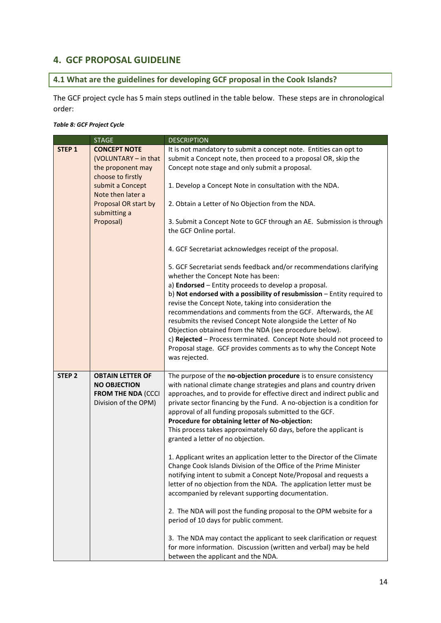# **4. GCF PROPOSAL GUIDELINE**

# **4.1 What are the guidelines for developing GCF proposal in the Cook Islands?**

The GCF project cycle has 5 main steps outlined in the table below. These steps are in chronological order:

#### *Table 8: GCF Project Cycle*

|                   | <b>STAGE</b>                                                                                        | <b>DESCRIPTION</b>                                                                                                                                                                                                                                                                                                                                                                                                                                                                                                                                                                                                                                              |
|-------------------|-----------------------------------------------------------------------------------------------------|-----------------------------------------------------------------------------------------------------------------------------------------------------------------------------------------------------------------------------------------------------------------------------------------------------------------------------------------------------------------------------------------------------------------------------------------------------------------------------------------------------------------------------------------------------------------------------------------------------------------------------------------------------------------|
| STEP <sub>1</sub> | <b>CONCEPT NOTE</b><br>(VOLUNTARY - in that<br>the proponent may                                    | It is not mandatory to submit a concept note. Entities can opt to<br>submit a Concept note, then proceed to a proposal OR, skip the<br>Concept note stage and only submit a proposal.                                                                                                                                                                                                                                                                                                                                                                                                                                                                           |
|                   | choose to firstly<br>submit a Concept<br>Note then later a                                          | 1. Develop a Concept Note in consultation with the NDA.                                                                                                                                                                                                                                                                                                                                                                                                                                                                                                                                                                                                         |
|                   | Proposal OR start by<br>submitting a                                                                | 2. Obtain a Letter of No Objection from the NDA.                                                                                                                                                                                                                                                                                                                                                                                                                                                                                                                                                                                                                |
|                   | Proposal)                                                                                           | 3. Submit a Concept Note to GCF through an AE. Submission is through<br>the GCF Online portal.                                                                                                                                                                                                                                                                                                                                                                                                                                                                                                                                                                  |
|                   |                                                                                                     | 4. GCF Secretariat acknowledges receipt of the proposal.                                                                                                                                                                                                                                                                                                                                                                                                                                                                                                                                                                                                        |
|                   |                                                                                                     | 5. GCF Secretariat sends feedback and/or recommendations clarifying<br>whether the Concept Note has been:<br>a) Endorsed - Entity proceeds to develop a proposal.<br>b) Not endorsed with a possibility of resubmission - Entity required to<br>revise the Concept Note, taking into consideration the<br>recommendations and comments from the GCF. Afterwards, the AE<br>resubmits the revised Concept Note alongside the Letter of No<br>Objection obtained from the NDA (see procedure below).<br>c) Rejected - Process terminated. Concept Note should not proceed to<br>Proposal stage. GCF provides comments as to why the Concept Note<br>was rejected. |
| STEP <sub>2</sub> | <b>OBTAIN LETTER OF</b><br><b>NO OBJECTION</b><br><b>FROM THE NDA (CCCI</b><br>Division of the OPM) | The purpose of the no-objection procedure is to ensure consistency<br>with national climate change strategies and plans and country driven<br>approaches, and to provide for effective direct and indirect public and<br>private sector financing by the Fund. A no-objection is a condition for<br>approval of all funding proposals submitted to the GCF.<br>Procedure for obtaining letter of No-objection:<br>This process takes approximately 60 days, before the applicant is<br>granted a letter of no objection.                                                                                                                                        |
|                   |                                                                                                     | 1. Applicant writes an application letter to the Director of the Climate<br>Change Cook Islands Division of the Office of the Prime Minister<br>notifying intent to submit a Concept Note/Proposal and requests a<br>letter of no objection from the NDA. The application letter must be<br>accompanied by relevant supporting documentation.                                                                                                                                                                                                                                                                                                                   |
|                   |                                                                                                     | 2. The NDA will post the funding proposal to the OPM website for a<br>period of 10 days for public comment.                                                                                                                                                                                                                                                                                                                                                                                                                                                                                                                                                     |
|                   |                                                                                                     | 3. The NDA may contact the applicant to seek clarification or request<br>for more information. Discussion (written and verbal) may be held<br>between the applicant and the NDA.                                                                                                                                                                                                                                                                                                                                                                                                                                                                                |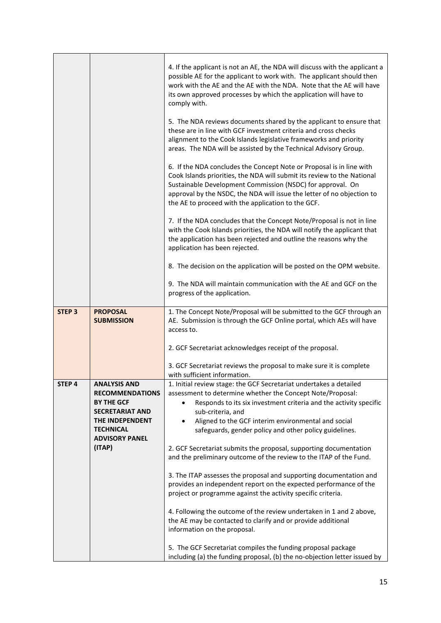|               |                                               | 4. If the applicant is not an AE, the NDA will discuss with the applicant a<br>possible AE for the applicant to work with. The applicant should then<br>work with the AE and the AE with the NDA. Note that the AE will have<br>its own approved processes by which the application will have to<br>comply with.<br>5. The NDA reviews documents shared by the applicant to ensure that<br>these are in line with GCF investment criteria and cross checks<br>alignment to the Cook Islands legislative frameworks and priority |
|---------------|-----------------------------------------------|---------------------------------------------------------------------------------------------------------------------------------------------------------------------------------------------------------------------------------------------------------------------------------------------------------------------------------------------------------------------------------------------------------------------------------------------------------------------------------------------------------------------------------|
|               |                                               | areas. The NDA will be assisted by the Technical Advisory Group.                                                                                                                                                                                                                                                                                                                                                                                                                                                                |
|               |                                               | 6. If the NDA concludes the Concept Note or Proposal is in line with<br>Cook Islands priorities, the NDA will submit its review to the National<br>Sustainable Development Commission (NSDC) for approval. On<br>approval by the NSDC, the NDA will issue the letter of no objection to<br>the AE to proceed with the application to the GCF.                                                                                                                                                                                   |
|               |                                               | 7. If the NDA concludes that the Concept Note/Proposal is not in line<br>with the Cook Islands priorities, the NDA will notify the applicant that<br>the application has been rejected and outline the reasons why the<br>application has been rejected.                                                                                                                                                                                                                                                                        |
|               |                                               | 8. The decision on the application will be posted on the OPM website.                                                                                                                                                                                                                                                                                                                                                                                                                                                           |
|               |                                               | 9. The NDA will maintain communication with the AE and GCF on the<br>progress of the application.                                                                                                                                                                                                                                                                                                                                                                                                                               |
| <b>STEP 3</b> | <b>PROPOSAL</b><br><b>SUBMISSION</b>          | 1. The Concept Note/Proposal will be submitted to the GCF through an<br>AE. Submission is through the GCF Online portal, which AEs will have<br>access to.                                                                                                                                                                                                                                                                                                                                                                      |
|               |                                               | 2. GCF Secretariat acknowledges receipt of the proposal.                                                                                                                                                                                                                                                                                                                                                                                                                                                                        |
|               |                                               | 3. GCF Secretariat reviews the proposal to make sure it is complete<br>with sufficient information.                                                                                                                                                                                                                                                                                                                                                                                                                             |
| <b>STEP 4</b> | <b>ANALYSIS AND</b><br><b>RECOMMENDATIONS</b> | 1. Initial review stage: the GCF Secretariat undertakes a detailed<br>assessment to determine whether the Concept Note/Proposal:                                                                                                                                                                                                                                                                                                                                                                                                |
|               | <b>BY THE GCF</b>                             | Responds to its six investment criteria and the activity specific                                                                                                                                                                                                                                                                                                                                                                                                                                                               |
|               | <b>SECRETARIAT AND</b><br>THE INDEPENDENT     | sub-criteria, and<br>Aligned to the GCF interim environmental and social<br>$\bullet$                                                                                                                                                                                                                                                                                                                                                                                                                                           |
|               | <b>TECHNICAL</b><br><b>ADVISORY PANEL</b>     | safeguards, gender policy and other policy guidelines.                                                                                                                                                                                                                                                                                                                                                                                                                                                                          |
|               | (ITAP)                                        | 2. GCF Secretariat submits the proposal, supporting documentation<br>and the preliminary outcome of the review to the ITAP of the Fund.                                                                                                                                                                                                                                                                                                                                                                                         |
|               |                                               | 3. The ITAP assesses the proposal and supporting documentation and<br>provides an independent report on the expected performance of the<br>project or programme against the activity specific criteria.                                                                                                                                                                                                                                                                                                                         |
|               |                                               | 4. Following the outcome of the review undertaken in 1 and 2 above,<br>the AE may be contacted to clarify and or provide additional<br>information on the proposal.                                                                                                                                                                                                                                                                                                                                                             |
|               |                                               | 5. The GCF Secretariat compiles the funding proposal package<br>including (a) the funding proposal, (b) the no-objection letter issued by                                                                                                                                                                                                                                                                                                                                                                                       |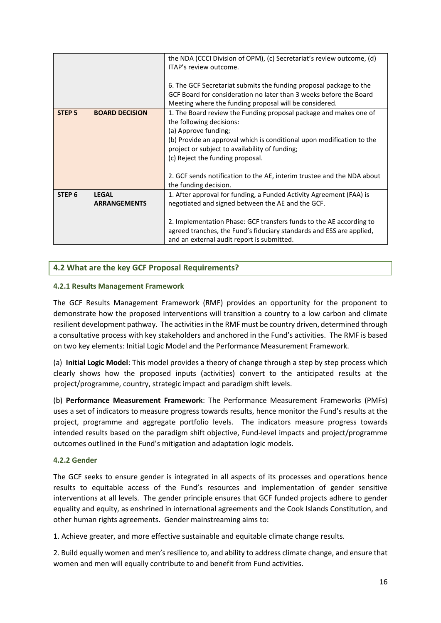|                   |                       | the NDA (CCCI Division of OPM), (c) Secretariat's review outcome, (d)<br>ITAP's review outcome.                                                                                                                                                                                                                                                                |
|-------------------|-----------------------|----------------------------------------------------------------------------------------------------------------------------------------------------------------------------------------------------------------------------------------------------------------------------------------------------------------------------------------------------------------|
|                   |                       | 6. The GCF Secretariat submits the funding proposal package to the<br>GCF Board for consideration no later than 3 weeks before the Board<br>Meeting where the funding proposal will be considered.                                                                                                                                                             |
| <b>STEP 5</b>     | <b>BOARD DECISION</b> | 1. The Board review the Funding proposal package and makes one of<br>the following decisions:<br>(a) Approve funding;<br>(b) Provide an approval which is conditional upon modification to the<br>project or subject to availability of funding;<br>(c) Reject the funding proposal.<br>2. GCF sends notification to the AE, interim trustee and the NDA about |
| STEP <sub>6</sub> | <b>LEGAL</b>          | the funding decision.<br>1. After approval for funding, a Funded Activity Agreement (FAA) is                                                                                                                                                                                                                                                                   |
|                   | <b>ARRANGEMENTS</b>   | negotiated and signed between the AE and the GCF.                                                                                                                                                                                                                                                                                                              |
|                   |                       | 2. Implementation Phase: GCF transfers funds to the AE according to<br>agreed tranches, the Fund's fiduciary standards and ESS are applied,<br>and an external audit report is submitted.                                                                                                                                                                      |

# **4.2 What are the key GCF Proposal Requirements?**

## **4.2.1 Results Management Framework**

The GCF Results Management Framework (RMF) provides an opportunity for the proponent to demonstrate how the proposed interventions will transition a country to a low carbon and climate resilient development pathway. The activities in the RMF must be country driven, determined through a consultative process with key stakeholders and anchored in the Fund's activities. The RMF is based on two key elements: Initial Logic Model and the Performance Measurement Framework.

(a) **Initial Logic Model**: This model provides a theory of change through a step by step process which clearly shows how the proposed inputs (activities) convert to the anticipated results at the project/programme, country, strategic impact and paradigm shift levels.

(b) **Performance Measurement Framework**: The Performance Measurement Frameworks (PMFs) uses a set of indicators to measure progress towards results, hence monitor the Fund's results at the project, programme and aggregate portfolio levels. The indicators measure progress towards intended results based on the paradigm shift objective, Fund-level impacts and project/programme outcomes outlined in the Fund's mitigation and adaptation logic models.

#### **4.2.2 Gender**

The GCF seeks to ensure gender is integrated in all aspects of its processes and operations hence results to equitable access of the Fund's resources and implementation of gender sensitive interventions at all levels. The gender principle ensures that GCF funded projects adhere to gender equality and equity, as enshrined in international agreements and the Cook Islands Constitution, and other human rights agreements. Gender mainstreaming aims to:

1. Achieve greater, and more effective sustainable and equitable climate change results.

2. Build equally women and men's resilience to, and ability to address climate change, and ensure that women and men will equally contribute to and benefit from Fund activities.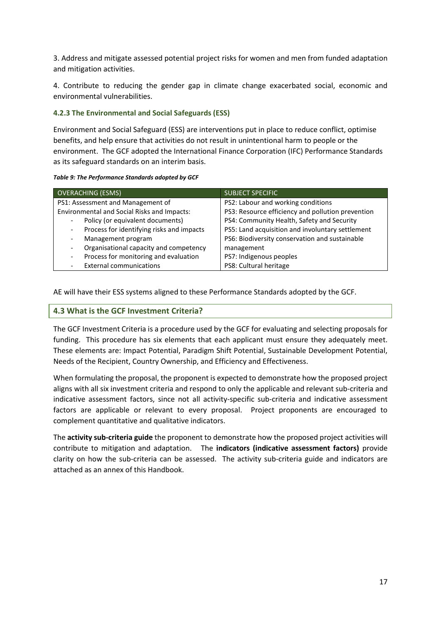3. Address and mitigate assessed potential project risks for women and men from funded adaptation and mitigation activities.

4. Contribute to reducing the gender gap in climate change exacerbated social, economic and environmental vulnerabilities.

## **4.2.3 The Environmental and Social Safeguards (ESS)**

Environment and Social Safeguard (ESS) are interventions put in place to reduce conflict, optimise benefits, and help ensure that activities do not result in unintentional harm to people or the environment. The GCF adopted the International Finance Corporation (IFC) Performance Standards as its safeguard standards on an interim basis.

#### *Table 9: The Performance Standards adopted by GCF*

| <b>OVERACHING (ESMS)</b>                    | <b>SUBJECT SPECIFIC</b>                           |  |  |
|---------------------------------------------|---------------------------------------------------|--|--|
| PS1: Assessment and Management of           | PS2: Labour and working conditions                |  |  |
| Environmental and Social Risks and Impacts: | PS3: Resource efficiency and pollution prevention |  |  |
| Policy (or equivalent documents)            | PS4: Community Health, Safety and Security        |  |  |
| Process for identifying risks and impacts   | PS5: Land acquisition and involuntary settlement  |  |  |
| Management program                          | PS6: Biodiversity conservation and sustainable    |  |  |
| Organisational capacity and competency<br>- | management                                        |  |  |
| Process for monitoring and evaluation       | PS7: Indigenous peoples                           |  |  |
| <b>External communications</b>              | PS8: Cultural heritage                            |  |  |

AE will have their ESS systems aligned to these Performance Standards adopted by the GCF.

# **4.3 What is the GCF Investment Criteria?**

The GCF Investment Criteria is a procedure used by the GCF for evaluating and selecting proposals for funding. This procedure has six elements that each applicant must ensure they adequately meet. These elements are: Impact Potential, Paradigm Shift Potential, Sustainable Development Potential, Needs of the Recipient, Country Ownership, and Efficiency and Effectiveness.

When formulating the proposal, the proponent is expected to demonstrate how the proposed project aligns with all six investment criteria and respond to only the applicable and relevant sub-criteria and indicative assessment factors, since not all activity-specific sub-criteria and indicative assessment factors are applicable or relevant to every proposal. Project proponents are encouraged to complement quantitative and qualitative indicators.

The **activity sub-criteria guide** the proponent to demonstrate how the proposed project activities will contribute to mitigation and adaptation. The **indicators (indicative assessment factors)** provide clarity on how the sub-criteria can be assessed. The activity sub-criteria guide and indicators are attached as an annex of this Handbook.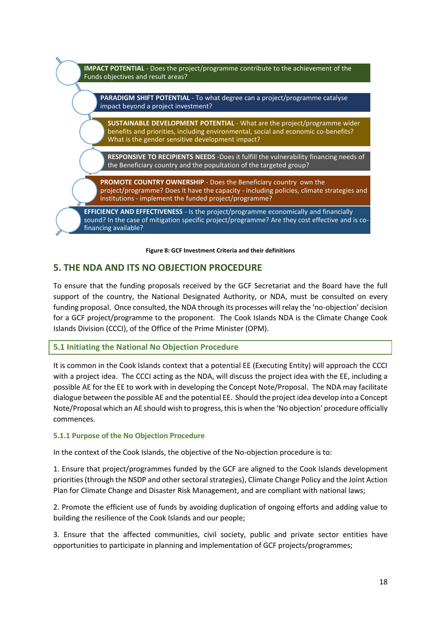

#### **Figure 8: GCF Investment Criteria and their definitions**

# **5. THE NDA AND ITS NO OBJECTION PROCEDURE**

To ensure that the funding proposals received by the GCF Secretariat and the Board have the full support of the country, the National Designated Authority, or NDA, must be consulted on every funding proposal. Once consulted, the NDA through its processes will relay the 'no-objection' decision for a GCF project/programme to the proponent. The Cook Islands NDA is the Climate Change Cook Islands Division (CCCI), of the Office of the Prime Minister (OPM).

# **5.1 Initiating the National No Objection Procedure**

It is common in the Cook Islands context that a potential EE (Executing Entity) will approach the CCCI with a project idea. The CCCI acting as the NDA, will discuss the project idea with the EE, including a possible AE for the EE to work with in developing the Concept Note/Proposal. The NDA may facilitate dialogue between the possible AE and the potential EE. Should the project idea develop into a Concept Note/Proposal which an AE should wish to progress, this is when the 'No objection' procedure officially commences.

#### **5.1.1 Purpose of the No Objection Procedure**

In the context of the Cook Islands, the objective of the No-objection procedure is to:

1. Ensure that project/programmes funded by the GCF are aligned to the Cook Islands development priorities (through the NSDP and other sectoral strategies), Climate Change Policy and the Joint Action Plan for Climate Change and Disaster Risk Management, and are compliant with national laws;

2. Promote the efficient use of funds by avoiding duplication of ongoing efforts and adding value to building the resilience of the Cook Islands and our people;

3. Ensure that the affected communities, civil society, public and private sector entities have opportunities to participate in planning and implementation of GCF projects/programmes;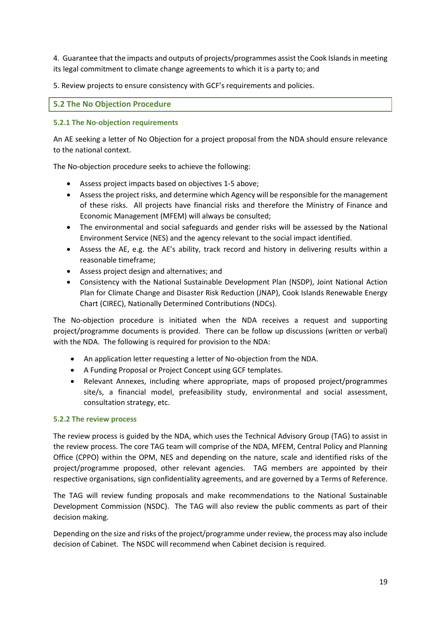4. Guarantee that the impacts and outputs of projects/programmes assist the Cook Islands in meeting its legal commitment to climate change agreements to which it is a party to; and

5. Review projects to ensure consistency with GCF's requirements and policies.

# **5.2 The No Objection Procedure**

#### **5.2.1 The No-objection requirements**

An AE seeking a letter of No Objection for a project proposal from the NDA should ensure relevance to the national context.

The No-objection procedure seeks to achieve the following:

- Assess project impacts based on objectives 1-5 above;
- Assess the project risks, and determine which Agency will be responsible for the management of these risks. All projects have financial risks and therefore the Ministry of Finance and Economic Management (MFEM) will always be consulted;
- The environmental and social safeguards and gender risks will be assessed by the National Environment Service (NES) and the agency relevant to the social impact identified.
- Assess the AE, e.g. the AE's ability, track record and history in delivering results within a reasonable timeframe;
- Assess project design and alternatives; and
- Consistency with the National Sustainable Development Plan (NSDP), Joint National Action Plan for Climate Change and Disaster Risk Reduction (JNAP), Cook Islands Renewable Energy Chart (CIREC), Nationally Determined Contributions (NDCs).

The No-objection procedure is initiated when the NDA receives a request and supporting project/programme documents is provided. There can be follow up discussions (written or verbal) with the NDA. The following is required for provision to the NDA:

- An application letter requesting a letter of No-objection from the NDA.
- A Funding Proposal or Project Concept using GCF templates.
- Relevant Annexes, including where appropriate, maps of proposed project/programmes site/s, a financial model, prefeasibility study, environmental and social assessment, consultation strategy, etc.

#### **5.2.2 The review process**

The review process is guided by the NDA, which uses the Technical Advisory Group (TAG) to assist in the review process. The core TAG team will comprise of the NDA, MFEM, Central Policy and Planning Office (CPPO) within the OPM, NES and depending on the nature, scale and identified risks of the project/programme proposed, other relevant agencies. TAG members are appointed by their respective organisations, sign confidentiality agreements, and are governed by a Terms of Reference.

The TAG will review funding proposals and make recommendations to the National Sustainable Development Commission (NSDC). The TAG will also review the public comments as part of their decision making.

Depending on the size and risks of the project/programme under review, the process may also include decision of Cabinet. The NSDC will recommend when Cabinet decision is required.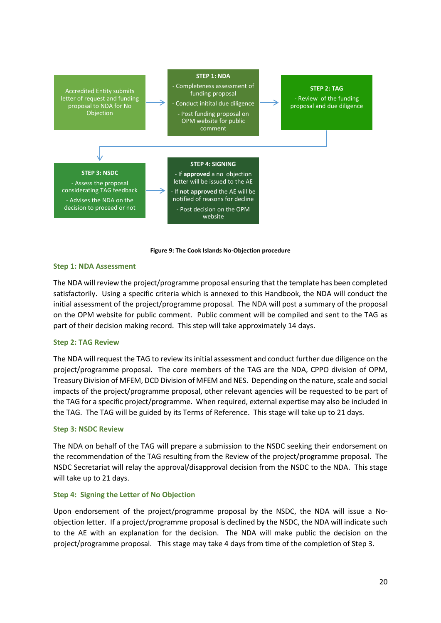



#### **Step 1: NDA Assessment**

The NDA will review the project/programme proposal ensuring that the template has been completed satisfactorily. Using a specific criteria which is annexed to this Handbook, the NDA will conduct the initial assessment of the project/programme proposal. The NDA will post a summary of the proposal on the OPM website for public comment. Public comment will be compiled and sent to the TAG as part of their decision making record. This step will take approximately 14 days.

#### **Step 2: TAG Review**

The NDA will request the TAG to review its initial assessment and conduct further due diligence on the project/programme proposal. The core members of the TAG are the NDA, CPPO division of OPM, Treasury Division of MFEM, DCD Division of MFEM and NES. Depending on the nature, scale and social impacts of the project/programme proposal, other relevant agencies will be requested to be part of the TAG for a specific project/programme. When required, external expertise may also be included in the TAG. The TAG will be guided by its Terms of Reference. This stage will take up to 21 days.

#### **Step 3: NSDC Review**

The NDA on behalf of the TAG will prepare a submission to the NSDC seeking their endorsement on the recommendation of the TAG resulting from the Review of the project/programme proposal. The NSDC Secretariat will relay the approval/disapproval decision from the NSDC to the NDA. This stage will take up to 21 days.

#### **Step 4: Signing the Letter of No Objection**

Upon endorsement of the project/programme proposal by the NSDC, the NDA will issue a Noobjection letter. If a project/programme proposal is declined by the NSDC, the NDA will indicate such to the AE with an explanation for the decision. The NDA will make public the decision on the project/programme proposal. This stage may take 4 days from time of the completion of Step 3.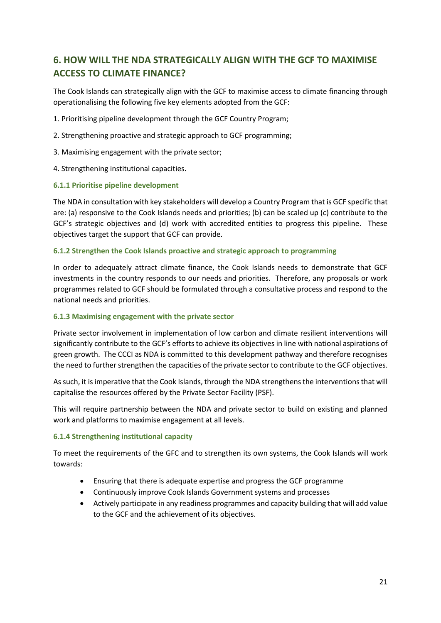# **6. HOW WILL THE NDA STRATEGICALLY ALIGN WITH THE GCF TO MAXIMISE ACCESS TO CLIMATE FINANCE?**

The Cook Islands can strategically align with the GCF to maximise access to climate financing through operationalising the following five key elements adopted from the GCF:

1. Prioritising pipeline development through the GCF Country Program;

- 2. Strengthening proactive and strategic approach to GCF programming;
- 3. Maximising engagement with the private sector;
- 4. Strengthening institutional capacities.

## **6.1.1 Prioritise pipeline development**

The NDA in consultation with key stakeholders will develop a Country Program that is GCF specific that are: (a) responsive to the Cook Islands needs and priorities; (b) can be scaled up (c) contribute to the GCF's strategic objectives and (d) work with accredited entities to progress this pipeline. These objectives target the support that GCF can provide.

## **6.1.2 Strengthen the Cook Islands proactive and strategic approach to programming**

In order to adequately attract climate finance, the Cook Islands needs to demonstrate that GCF investments in the country responds to our needs and priorities. Therefore, any proposals or work programmes related to GCF should be formulated through a consultative process and respond to the national needs and priorities.

#### **6.1.3 Maximising engagement with the private sector**

Private sector involvement in implementation of low carbon and climate resilient interventions will significantly contribute to the GCF's efforts to achieve its objectives in line with national aspirations of green growth. The CCCI as NDA is committed to this development pathway and therefore recognises the need to further strengthen the capacities of the private sector to contribute to the GCF objectives.

As such, it is imperative that the Cook Islands, through the NDA strengthens the interventions that will capitalise the resources offered by the Private Sector Facility (PSF).

This will require partnership between the NDA and private sector to build on existing and planned work and platforms to maximise engagement at all levels.

#### **6.1.4 Strengthening institutional capacity**

To meet the requirements of the GFC and to strengthen its own systems, the Cook Islands will work towards:

- Ensuring that there is adequate expertise and progress the GCF programme
- Continuously improve Cook Islands Government systems and processes
- Actively participate in any readiness programmes and capacity building that will add value to the GCF and the achievement of its objectives.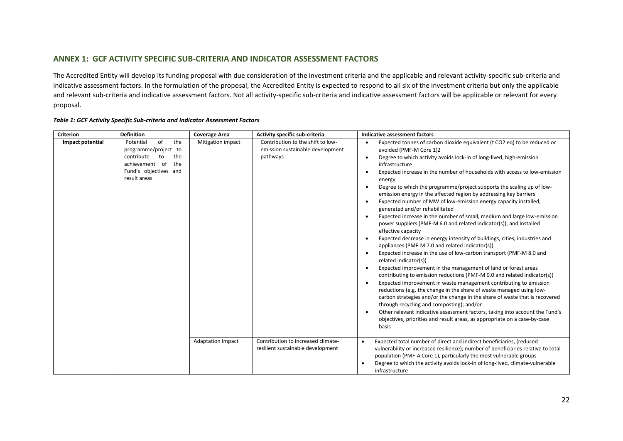### **ANNEX 1: GCF ACTIVITY SPECIFIC SUB-CRITERIA AND INDICATOR ASSESSMENT FACTORS**

The Accredited Entity will develop its funding proposal with due consideration of the investment criteria and the applicable and relevant activity-specific sub-criteria and indicative assessment factors. In the formulation of the proposal, the Accredited Entity is expected to respond to all six of the investment criteria but only the applicable and relevant sub-criteria and indicative assessment factors. Not all activity-specific sub-criteria and indicative assessment factors will be applicable or relevant for every proposal.

| <b>Criterion</b> | <b>Definition</b>                                                                                                                           | <b>Coverage Area</b>     | Activity specific sub-criteria                                                    | Indicative assessment factors                                                                                                                                                                                                                                                                                                                                                                                                                                                                                                                                                                                                                                                                                                                                                                               |
|------------------|---------------------------------------------------------------------------------------------------------------------------------------------|--------------------------|-----------------------------------------------------------------------------------|-------------------------------------------------------------------------------------------------------------------------------------------------------------------------------------------------------------------------------------------------------------------------------------------------------------------------------------------------------------------------------------------------------------------------------------------------------------------------------------------------------------------------------------------------------------------------------------------------------------------------------------------------------------------------------------------------------------------------------------------------------------------------------------------------------------|
| Impact potential | οf<br>Potential<br>the<br>programme/project to<br>contribute<br>the<br>to<br>the<br>achievement of<br>Fund's objectives and<br>result areas | Mitigation impact        | Contribution to the shift to low-<br>emission sustainable development<br>pathways | Expected tonnes of carbon dioxide equivalent (t CO2 eq) to be reduced or<br>avoided (PMF-M Core 1)2<br>Degree to which activity avoids lock-in of long-lived, high-emission<br>infrastructure<br>Expected increase in the number of households with access to low-emission<br>energy<br>Degree to which the programme/project supports the scaling up of low-<br>emission energy in the affected region by addressing key barriers<br>Expected number of MW of low-emission energy capacity installed,<br>$\bullet$<br>generated and/or rehabilitated<br>Expected increase in the number of small, medium and large low-emission<br>power suppliers (PMF-M 6.0 and related indicator(s)), and installed<br>effective capacity<br>Expected decrease in energy intensity of buildings, cities, industries and |
|                  |                                                                                                                                             |                          |                                                                                   | appliances (PMF-M 7.0 and related indicator(s))<br>Expected increase in the use of low-carbon transport (PMF-M 8.0 and<br>related indicator(s))<br>Expected improvement in the management of land or forest areas<br>contributing to emission reductions (PMF-M 9.0 and related indicator(s))<br>Expected improvement in waste management contributing to emission<br>reductions (e.g. the change in the share of waste managed using low-<br>carbon strategies and/or the change in the share of waste that is recovered<br>through recycling and composting); and/or<br>Other relevant indicative assessment factors, taking into account the Fund's<br>objectives, priorities and result areas, as appropriate on a case-by-case<br>basis                                                                |
|                  |                                                                                                                                             | <b>Adaptation Impact</b> | Contribution to increased climate-<br>resilient sustainable development           | Expected total number of direct and indirect beneficiaries, (reduced<br>$\bullet$<br>vulnerability or increased resilience); number of beneficiaries relative to total<br>population (PMF-A Core 1), particularly the most vulnerable groups<br>Degree to which the activity avoids lock-in of long-lived, climate-vulnerable<br>$\bullet$<br>infrastructure                                                                                                                                                                                                                                                                                                                                                                                                                                                |

#### *Table 1: GCF Activity Specific Sub-criteria and Indicator Assessment Factors*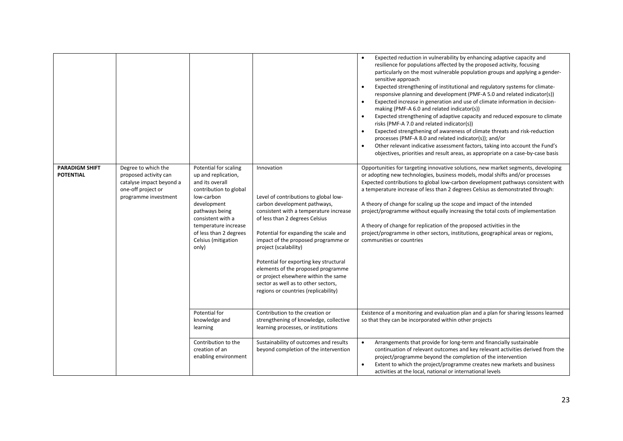| <b>PARADIGM SHIFT</b><br><b>POTENTIAL</b> | Degree to which the<br>proposed activity can<br>catalyse impact beyond a<br>one-off project or<br>programme investment | Potential for scaling<br>up and replication,<br>and its overall<br>contribution to global<br>low-carbon<br>development<br>pathways being<br>consistent with a<br>temperature increase<br>of less than 2 degrees<br>Celsius (mitigation<br>only) | Innovation<br>Level of contributions to global low-<br>carbon development pathways,<br>consistent with a temperature increase<br>of less than 2 degrees Celsius<br>Potential for expanding the scale and<br>impact of the proposed programme or<br>project (scalability)<br>Potential for exporting key structural<br>elements of the proposed programme<br>or project elsewhere within the same<br>sector as well as to other sectors,<br>regions or countries (replicability) | Expected reduction in vulnerability by enhancing adaptive capacity and<br>$\bullet$<br>resilience for populations affected by the proposed activity, focusing<br>particularly on the most vulnerable population groups and applying a gender-<br>sensitive approach<br>Expected strengthening of institutional and regulatory systems for climate-<br>$\bullet$<br>responsive planning and development (PMF-A 5.0 and related indicator(s))<br>Expected increase in generation and use of climate information in decision-<br>$\bullet$<br>making (PMF-A 6.0 and related indicator(s))<br>Expected strengthening of adaptive capacity and reduced exposure to climate<br>$\bullet$<br>risks (PMF-A 7.0 and related indicator(s))<br>Expected strengthening of awareness of climate threats and risk-reduction<br>$\bullet$<br>processes (PMF-A 8.0 and related indicator(s)); and/or<br>Other relevant indicative assessment factors, taking into account the Fund's<br>$\bullet$<br>objectives, priorities and result areas, as appropriate on a case-by-case basis<br>Opportunities for targeting innovative solutions, new market segments, developing<br>or adopting new technologies, business models, modal shifts and/or processes<br>Expected contributions to global low-carbon development pathways consistent with<br>a temperature increase of less than 2 degrees Celsius as demonstrated through:<br>A theory of change for scaling up the scope and impact of the intended<br>project/programme without equally increasing the total costs of implementation<br>A theory of change for replication of the proposed activities in the<br>project/programme in other sectors, institutions, geographical areas or regions,<br>communities or countries |
|-------------------------------------------|------------------------------------------------------------------------------------------------------------------------|-------------------------------------------------------------------------------------------------------------------------------------------------------------------------------------------------------------------------------------------------|---------------------------------------------------------------------------------------------------------------------------------------------------------------------------------------------------------------------------------------------------------------------------------------------------------------------------------------------------------------------------------------------------------------------------------------------------------------------------------|---------------------------------------------------------------------------------------------------------------------------------------------------------------------------------------------------------------------------------------------------------------------------------------------------------------------------------------------------------------------------------------------------------------------------------------------------------------------------------------------------------------------------------------------------------------------------------------------------------------------------------------------------------------------------------------------------------------------------------------------------------------------------------------------------------------------------------------------------------------------------------------------------------------------------------------------------------------------------------------------------------------------------------------------------------------------------------------------------------------------------------------------------------------------------------------------------------------------------------------------------------------------------------------------------------------------------------------------------------------------------------------------------------------------------------------------------------------------------------------------------------------------------------------------------------------------------------------------------------------------------------------------------------------------------------------------------------------------------------------------------------------------|
|                                           |                                                                                                                        | Potential for<br>knowledge and<br>learning                                                                                                                                                                                                      | Contribution to the creation or<br>strengthening of knowledge, collective<br>learning processes, or institutions                                                                                                                                                                                                                                                                                                                                                                | Existence of a monitoring and evaluation plan and a plan for sharing lessons learned<br>so that they can be incorporated within other projects                                                                                                                                                                                                                                                                                                                                                                                                                                                                                                                                                                                                                                                                                                                                                                                                                                                                                                                                                                                                                                                                                                                                                                                                                                                                                                                                                                                                                                                                                                                                                                                                                      |
|                                           |                                                                                                                        | Contribution to the<br>creation of an<br>enabling environment                                                                                                                                                                                   | Sustainability of outcomes and results<br>beyond completion of the intervention                                                                                                                                                                                                                                                                                                                                                                                                 | Arrangements that provide for long-term and financially sustainable<br>$\bullet$<br>continuation of relevant outcomes and key relevant activities derived from the<br>project/programme beyond the completion of the intervention<br>Extent to which the project/programme creates new markets and business<br>$\bullet$<br>activities at the local, national or international levels                                                                                                                                                                                                                                                                                                                                                                                                                                                                                                                                                                                                                                                                                                                                                                                                                                                                                                                                                                                                                                                                                                                                                                                                                                                                                                                                                                               |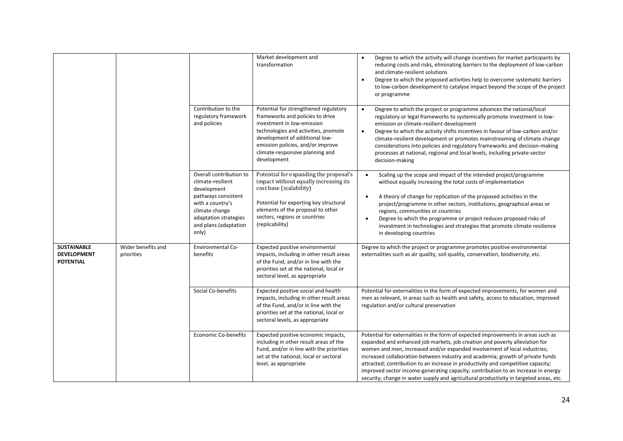|                                                       |                                  |                                                                                                                                                                                     | Market development and<br>transformation                                                                                                                                                                                                                                 | Degree to which the activity will change incentives for market participants by<br>$\bullet$<br>reducing costs and risks, eliminating barriers to the deployment of low-carbon<br>and climate-resilient solutions<br>Degree to which the proposed activities help to overcome systematic barriers<br>$\bullet$<br>to low-carbon development to catalyse impact beyond the scope of the project<br>or programme                                                                                                                                                                                      |
|-------------------------------------------------------|----------------------------------|-------------------------------------------------------------------------------------------------------------------------------------------------------------------------------------|--------------------------------------------------------------------------------------------------------------------------------------------------------------------------------------------------------------------------------------------------------------------------|----------------------------------------------------------------------------------------------------------------------------------------------------------------------------------------------------------------------------------------------------------------------------------------------------------------------------------------------------------------------------------------------------------------------------------------------------------------------------------------------------------------------------------------------------------------------------------------------------|
|                                                       |                                  | Contribution to the<br>regulatory framework<br>and policies                                                                                                                         | Potential for strengthened regulatory<br>frameworks and policies to drive<br>investment in low-emission<br>technologies and activities, promote<br>development of additional low-<br>emission policies, and/or improve<br>climate-responsive planning and<br>development | Degree to which the project or programme advances the national/local<br>$\bullet$<br>regulatory or legal frameworks to systemically promote investment in low-<br>emission or climate-resilient development<br>Degree to which the activity shifts incentives in favour of low-carbon and/or<br>$\bullet$<br>climate-resilient development or promotes mainstreaming of climate change<br>considerations into policies and regulatory frameworks and decision-making<br>processes at national, regional and local levels, including private-sector<br>decision-making                              |
|                                                       |                                  | Overall contribution to<br>climate-resilient<br>development<br>pathways consistent<br>with a country's<br>climate change<br>adaptation strategies<br>and plans (adaptation<br>only) | Potential for expanding the proposal's<br>impact without equally increasing its<br>cost base (scalability)<br>Potential for exporting key structural<br>elements of the proposal to other<br>sectors, regions or countries<br>(replicability)                            | Scaling up the scope and impact of the intended project/programme<br>$\bullet$<br>without equally increasing the total costs of implementation<br>A theory of change for replication of the proposed activities in the<br>$\bullet$<br>project/programme in other sectors, institutions, geographical areas or<br>regions, communities or countries<br>Degree to which the programme or project reduces proposed risks of<br>investment in technologies and strategies that promote climate resilience<br>in developing countries                                                                  |
| SUSTAINABLE<br><b>DEVELOPMENT</b><br><b>POTENTIAL</b> | Wider benefits and<br>priorities | <b>Environmental Co-</b><br>benefits                                                                                                                                                | Expected positive environmental<br>impacts, including in other result areas<br>of the Fund, and/or in line with the<br>priorities set at the national, local or<br>sectoral level, as appropriate                                                                        | Degree to which the project or programme promotes positive environmental<br>externalities such as air quality, soil quality, conservation, biodiversity, etc.                                                                                                                                                                                                                                                                                                                                                                                                                                      |
|                                                       |                                  | Social Co-benefits                                                                                                                                                                  | Expected positive social and health<br>impacts, including in other result areas<br>of the Fund, and/or in line with the<br>priorities set at the national, local or<br>sectoral levels, as appropriate                                                                   | Potential for externalities in the form of expected improvements, for women and<br>men as relevant, in areas such as health and safety, access to education, improved<br>regulation and/or cultural preservation                                                                                                                                                                                                                                                                                                                                                                                   |
|                                                       |                                  | <b>Economic Co-benefits</b>                                                                                                                                                         | Expected positive economic impacts,<br>including in other result areas of the<br>Fund, and/or in line with the priorities<br>set at the national, local or sectoral<br>level, as appropriate                                                                             | Potential for externalities in the form of expected improvements in areas such as<br>expanded and enhanced job markets, job creation and poverty alleviation for<br>women and men, increased and/or expanded involvement of local industries;<br>increased collaboration between industry and academia; growth of private funds<br>attracted; contribution to an increase in productivity and competitive capacity;<br>improved sector income-generating capacity; contribution to an increase in energy<br>security; change in water supply and agricultural productivity in targeted areas, etc. |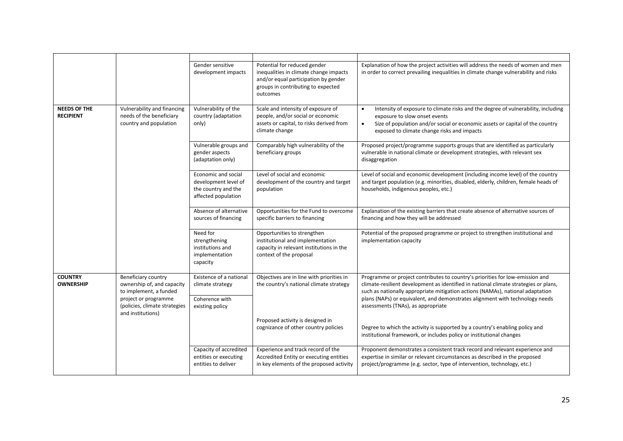|                                         |                                                                                                                                                           | Gender sensitive<br>development impacts                                                   | Potential for reduced gender<br>inequalities in climate change impacts<br>and/or equal participation by gender<br>groups in contributing to expected<br>outcomes | Explanation of how the project activities will address the needs of women and men<br>in order to correct prevailing inequalities in climate change vulnerability and risks                                                                                                                                                                                                    |
|-----------------------------------------|-----------------------------------------------------------------------------------------------------------------------------------------------------------|-------------------------------------------------------------------------------------------|------------------------------------------------------------------------------------------------------------------------------------------------------------------|-------------------------------------------------------------------------------------------------------------------------------------------------------------------------------------------------------------------------------------------------------------------------------------------------------------------------------------------------------------------------------|
| <b>NEEDS OF THE</b><br><b>RECIPIENT</b> | Vulnerability and financing<br>needs of the beneficiary<br>country and population                                                                         | Vulnerability of the<br>country (adaptation<br>only)                                      | Scale and intensity of exposure of<br>people, and/or social or economic<br>assets or capital, to risks derived from<br>climate change                            | Intensity of exposure to climate risks and the degree of vulnerability, including<br>exposure to slow onset events<br>Size of population and/or social or economic assets or capital of the country<br>$\bullet$<br>exposed to climate change risks and impacts                                                                                                               |
|                                         |                                                                                                                                                           | Vulnerable groups and<br>gender aspects<br>(adaptation only)                              | Comparably high vulnerability of the<br>beneficiary groups                                                                                                       | Proposed project/programme supports groups that are identified as particularly<br>vulnerable in national climate or development strategies, with relevant sex<br>disaggregation                                                                                                                                                                                               |
|                                         |                                                                                                                                                           | Economic and social<br>development level of<br>the country and the<br>affected population | Level of social and economic<br>development of the country and target<br>population                                                                              | Level of social and economic development (including income level) of the country<br>and target population (e.g. minorities, disabled, elderly, children, female heads of<br>households, indigenous peoples, etc.)                                                                                                                                                             |
|                                         |                                                                                                                                                           | Absence of alternative<br>sources of financing                                            | Opportunities for the Fund to overcome<br>specific barriers to financing                                                                                         | Explanation of the existing barriers that create absence of alternative sources of<br>financing and how they will be addressed                                                                                                                                                                                                                                                |
|                                         |                                                                                                                                                           | Need for<br>strengthening<br>institutions and<br>implementation<br>capacity               | Opportunities to strengthen<br>institutional and implementation<br>capacity in relevant institutions in the<br>context of the proposal                           | Potential of the proposed programme or project to strengthen institutional and<br>implementation capacity                                                                                                                                                                                                                                                                     |
| <b>COUNTRY</b><br><b>OWNERSHIP</b>      | Beneficiary country<br>ownership of, and capacity<br>to implement, a funded<br>project or programme<br>(policies, climate strategies<br>and institutions) | Existence of a national<br>climate strategy<br>Coherence with<br>existing policy          | Objectives are in line with priorities in<br>the country's national climate strategy                                                                             | Programme or project contributes to country's priorities for low-emission and<br>climate-resilient development as identified in national climate strategies or plans,<br>such as nationally appropriate mitigation actions (NAMAs), national adaptation<br>plans (NAPs) or equivalent, and demonstrates alignment with technology needs<br>assessments (TNAs), as appropriate |
|                                         |                                                                                                                                                           |                                                                                           | Proposed activity is designed in<br>cognizance of other country policies                                                                                         | Degree to which the activity is supported by a country's enabling policy and<br>institutional framework, or includes policy or institutional changes                                                                                                                                                                                                                          |
|                                         |                                                                                                                                                           | Capacity of accredited<br>entities or executing<br>entities to deliver                    | Experience and track record of the<br>Accredited Entity or executing entities<br>in key elements of the proposed activity                                        | Proponent demonstrates a consistent track record and relevant experience and<br>expertise in similar or relevant circumstances as described in the proposed<br>project/programme (e.g. sector, type of intervention, technology, etc.)                                                                                                                                        |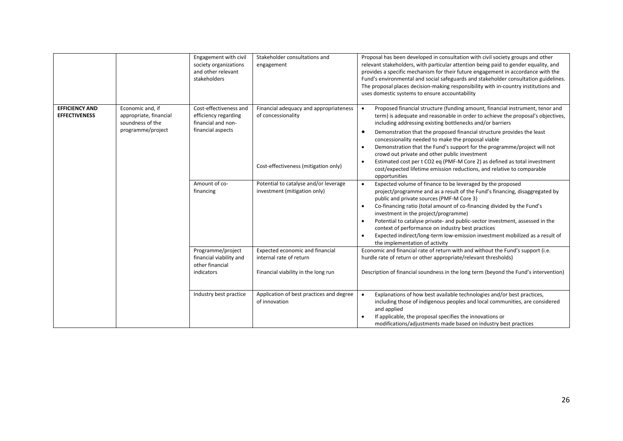|                                               |                                                                                     | Engagement with civil<br>society organizations<br>and other relevant<br>stakeholders                                    | Stakeholder consultations and<br>engagement                                                                                                                                   | Proposal has been developed in consultation with civil society groups and other<br>relevant stakeholders, with particular attention being paid to gender equality, and<br>provides a specific mechanism for their future engagement in accordance with the<br>Fund's environmental and social safeguards and stakeholder consultation guidelines.<br>The proposal places decision-making responsibility with in-country institutions and<br>uses domestic systems to ensure accountability                                                                                                                                                                                                                                                                                                                                                                                                                                                                                                                                                                                                                                                                                                                                                                                                                          |
|-----------------------------------------------|-------------------------------------------------------------------------------------|-------------------------------------------------------------------------------------------------------------------------|-------------------------------------------------------------------------------------------------------------------------------------------------------------------------------|---------------------------------------------------------------------------------------------------------------------------------------------------------------------------------------------------------------------------------------------------------------------------------------------------------------------------------------------------------------------------------------------------------------------------------------------------------------------------------------------------------------------------------------------------------------------------------------------------------------------------------------------------------------------------------------------------------------------------------------------------------------------------------------------------------------------------------------------------------------------------------------------------------------------------------------------------------------------------------------------------------------------------------------------------------------------------------------------------------------------------------------------------------------------------------------------------------------------------------------------------------------------------------------------------------------------|
| <b>EFFICIENCY AND</b><br><b>EFFECTIVENESS</b> | Economic and, if<br>appropriate, financial<br>soundness of the<br>programme/project | Cost-effectiveness and<br>efficiency regarding<br>financial and non-<br>financial aspects<br>Amount of co-<br>financing | Financial adequacy and appropriateness<br>of concessionality<br>Cost-effectiveness (mitigation only)<br>Potential to catalyse and/or leverage<br>investment (mitigation only) | Proposed financial structure (funding amount, financial instrument, tenor and<br>term) is adequate and reasonable in order to achieve the proposal's objectives,<br>including addressing existing bottlenecks and/or barriers<br>Demonstration that the proposed financial structure provides the least<br>$\bullet$<br>concessionality needed to make the proposal viable<br>Demonstration that the Fund's support for the programme/project will not<br>$\bullet$<br>crowd out private and other public investment<br>Estimated cost per t CO2 eq (PMF-M Core 2) as defined as total investment<br>$\bullet$<br>cost/expected lifetime emission reductions, and relative to comparable<br>opportunities<br>Expected volume of finance to be leveraged by the proposed<br>$\bullet$<br>project/programme and as a result of the Fund's financing, disaggregated by<br>public and private sources (PMF-M Core 3)<br>Co-financing ratio (total amount of co-financing divided by the Fund's<br>$\bullet$<br>investment in the project/programme)<br>Potential to catalyse private- and public-sector investment, assessed in the<br>context of performance on industry best practices<br>Expected indirect/long-term low-emission investment mobilized as a result of<br>$\bullet$<br>the implementation of activity |
|                                               |                                                                                     | Programme/project<br>financial viability and<br>other financial<br>indicators                                           | Expected economic and financial<br>internal rate of return<br>Financial viability in the long run                                                                             | Economic and financial rate of return with and without the Fund's support (i.e.<br>hurdle rate of return or other appropriate/relevant thresholds)<br>Description of financial soundness in the long term (beyond the Fund's intervention)                                                                                                                                                                                                                                                                                                                                                                                                                                                                                                                                                                                                                                                                                                                                                                                                                                                                                                                                                                                                                                                                          |
|                                               |                                                                                     | Industry best practice                                                                                                  | Application of best practices and degree<br>of innovation                                                                                                                     | Explanations of how best available technologies and/or best practices,<br>including those of indigenous peoples and local communities, are considered<br>and applied<br>If applicable, the proposal specifies the innovations or<br>modifications/adjustments made based on industry best practices                                                                                                                                                                                                                                                                                                                                                                                                                                                                                                                                                                                                                                                                                                                                                                                                                                                                                                                                                                                                                 |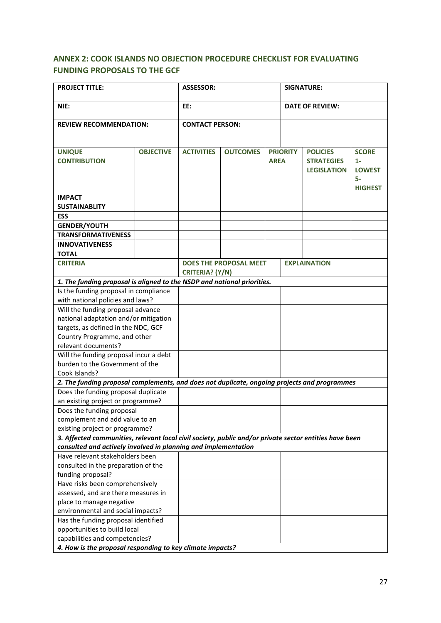# **ANNEX 2: COOK ISLANDS NO OBJECTION PROCEDURE CHECKLIST FOR EVALUATING FUNDING PROPOSALS TO THE GCF**

| <b>PROJECT TITLE:</b>                                                                                  |                  | <b>ASSESSOR:</b>       |                               | <b>SIGNATURE:</b> |                        |                                                            |                                                                |
|--------------------------------------------------------------------------------------------------------|------------------|------------------------|-------------------------------|-------------------|------------------------|------------------------------------------------------------|----------------------------------------------------------------|
| NIE:                                                                                                   |                  | EE:                    |                               |                   | <b>DATE OF REVIEW:</b> |                                                            |                                                                |
| <b>REVIEW RECOMMENDATION:</b>                                                                          |                  | <b>CONTACT PERSON:</b> |                               |                   |                        |                                                            |                                                                |
| <b>UNIQUE</b><br><b>CONTRIBUTION</b>                                                                   | <b>OBJECTIVE</b> | <b>ACTIVITIES</b>      | <b>OUTCOMES</b>               | <b>AREA</b>       | <b>PRIORITY</b>        | <b>POLICIES</b><br><b>STRATEGIES</b><br><b>LEGISLATION</b> | <b>SCORE</b><br>$1 -$<br><b>LOWEST</b><br>5-<br><b>HIGHEST</b> |
| <b>IMPACT</b>                                                                                          |                  |                        |                               |                   |                        |                                                            |                                                                |
| <b>SUSTAINABLITY</b>                                                                                   |                  |                        |                               |                   |                        |                                                            |                                                                |
| <b>ESS</b>                                                                                             |                  |                        |                               |                   |                        |                                                            |                                                                |
| <b>GENDER/YOUTH</b>                                                                                    |                  |                        |                               |                   |                        |                                                            |                                                                |
| <b>TRANSFORMATIVENESS</b>                                                                              |                  |                        |                               |                   |                        |                                                            |                                                                |
| <b>INNOVATIVENESS</b>                                                                                  |                  |                        |                               |                   |                        |                                                            |                                                                |
| <b>TOTAL</b>                                                                                           |                  |                        |                               |                   |                        |                                                            |                                                                |
| <b>CRITERIA</b>                                                                                        |                  |                        | <b>DOES THE PROPOSAL MEET</b> |                   |                        | <b>EXPLAINATION</b>                                        |                                                                |
|                                                                                                        |                  | CRITERIA? (Y/N)        |                               |                   |                        |                                                            |                                                                |
| 1. The funding proposal is aligned to the NSDP and national priorities.                                |                  |                        |                               |                   |                        |                                                            |                                                                |
| Is the funding proposal in compliance                                                                  |                  |                        |                               |                   |                        |                                                            |                                                                |
| with national policies and laws?                                                                       |                  |                        |                               |                   |                        |                                                            |                                                                |
| Will the funding proposal advance                                                                      |                  |                        |                               |                   |                        |                                                            |                                                                |
| national adaptation and/or mitigation                                                                  |                  |                        |                               |                   |                        |                                                            |                                                                |
| targets, as defined in the NDC, GCF                                                                    |                  |                        |                               |                   |                        |                                                            |                                                                |
| Country Programme, and other                                                                           |                  |                        |                               |                   |                        |                                                            |                                                                |
| relevant documents?                                                                                    |                  |                        |                               |                   |                        |                                                            |                                                                |
| Will the funding proposal incur a debt                                                                 |                  |                        |                               |                   |                        |                                                            |                                                                |
| burden to the Government of the                                                                        |                  |                        |                               |                   |                        |                                                            |                                                                |
| Cook Islands?                                                                                          |                  |                        |                               |                   |                        |                                                            |                                                                |
| 2. The funding proposal complements, and does not duplicate, ongoing projects and programmes           |                  |                        |                               |                   |                        |                                                            |                                                                |
| Does the funding proposal duplicate                                                                    |                  |                        |                               |                   |                        |                                                            |                                                                |
| an existing project or programme?                                                                      |                  |                        |                               |                   |                        |                                                            |                                                                |
| Does the funding proposal                                                                              |                  |                        |                               |                   |                        |                                                            |                                                                |
| complement and add value to an                                                                         |                  |                        |                               |                   |                        |                                                            |                                                                |
| existing project or programme?                                                                         |                  |                        |                               |                   |                        |                                                            |                                                                |
| 3. Affected communities, relevant local civil society, public and/or private sector entities have been |                  |                        |                               |                   |                        |                                                            |                                                                |
| consulted and actively involved in planning and implementation                                         |                  |                        |                               |                   |                        |                                                            |                                                                |
| Have relevant stakeholders been                                                                        |                  |                        |                               |                   |                        |                                                            |                                                                |
| consulted in the preparation of the                                                                    |                  |                        |                               |                   |                        |                                                            |                                                                |
| funding proposal?                                                                                      |                  |                        |                               |                   |                        |                                                            |                                                                |
| Have risks been comprehensively                                                                        |                  |                        |                               |                   |                        |                                                            |                                                                |
| assessed, and are there measures in                                                                    |                  |                        |                               |                   |                        |                                                            |                                                                |
| place to manage negative                                                                               |                  |                        |                               |                   |                        |                                                            |                                                                |
| environmental and social impacts?                                                                      |                  |                        |                               |                   |                        |                                                            |                                                                |
| Has the funding proposal identified                                                                    |                  |                        |                               |                   |                        |                                                            |                                                                |
| opportunities to build local                                                                           |                  |                        |                               |                   |                        |                                                            |                                                                |
| capabilities and competencies?                                                                         |                  |                        |                               |                   |                        |                                                            |                                                                |
| 4. How is the proposal responding to key climate impacts?                                              |                  |                        |                               |                   |                        |                                                            |                                                                |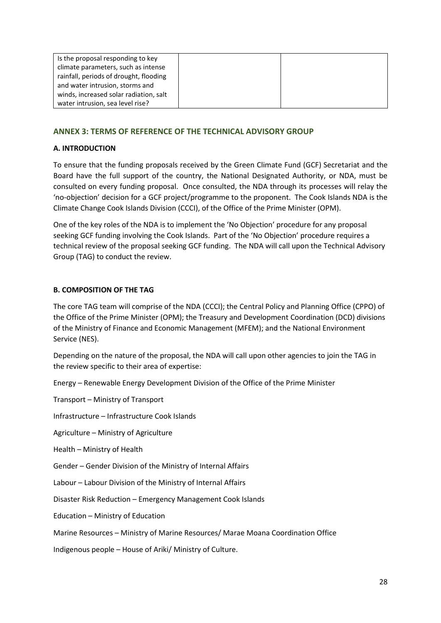| Is the proposal responding to key      |  |
|----------------------------------------|--|
| climate parameters, such as intense    |  |
| rainfall, periods of drought, flooding |  |
| and water intrusion, storms and        |  |
| winds, increased solar radiation, salt |  |
| water intrusion, sea level rise?       |  |

# **ANNEX 3: TERMS OF REFERENCE OF THE TECHNICAL ADVISORY GROUP**

## **A. INTRODUCTION**

To ensure that the funding proposals received by the Green Climate Fund (GCF) Secretariat and the Board have the full support of the country, the National Designated Authority, or NDA, must be consulted on every funding proposal. Once consulted, the NDA through its processes will relay the 'no-objection' decision for a GCF project/programme to the proponent. The Cook Islands NDA is the Climate Change Cook Islands Division (CCCI), of the Office of the Prime Minister (OPM).

One of the key roles of the NDA is to implement the 'No Objection' procedure for any proposal seeking GCF funding involving the Cook Islands. Part of the 'No Objection' procedure requires a technical review of the proposal seeking GCF funding. The NDA will call upon the Technical Advisory Group (TAG) to conduct the review.

## **B. COMPOSITION OF THE TAG**

The core TAG team will comprise of the NDA (CCCI); the Central Policy and Planning Office (CPPO) of the Office of the Prime Minister (OPM); the Treasury and Development Coordination (DCD) divisions of the Ministry of Finance and Economic Management (MFEM); and the National Environment Service (NES).

Depending on the nature of the proposal, the NDA will call upon other agencies to join the TAG in the review specific to their area of expertise:

Energy – Renewable Energy Development Division of the Office of the Prime Minister

Transport – Ministry of Transport

Infrastructure – Infrastructure Cook Islands

Agriculture – Ministry of Agriculture

Health – Ministry of Health

Gender – Gender Division of the Ministry of Internal Affairs

Labour – Labour Division of the Ministry of Internal Affairs

Disaster Risk Reduction – Emergency Management Cook Islands

Education – Ministry of Education

Marine Resources – Ministry of Marine Resources/ Marae Moana Coordination Office

Indigenous people – House of Ariki/ Ministry of Culture.